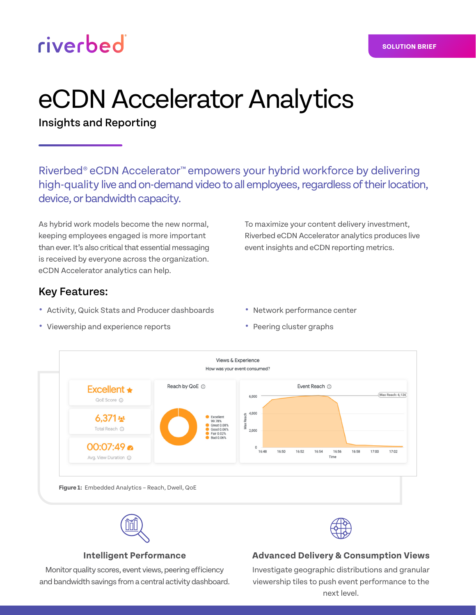# riverbed

#### **SOLUTION BRIEF**

# eCDN Accelerator Analytics

Insights and Reporting

Riverbed® eCDN Accelerator™ empowers your hybrid workforce by delivering high-quality live and on-demand video to all employees, regardless of their location, device, or bandwidth capacity.

As hybrid work models become the new normal, keeping employees engaged is more important than ever. It's also critical that essential messaging is received by everyone across the organization. eCDN Accelerator analytics can help.

# Key Features:

- **•** Activity, Quick Stats and Producer dashboards
- **•** Viewership and experience reports
- To maximize your content delivery investment, Riverbed eCDN Accelerator analytics produces live event insights and eCDN reporting metrics.
- **•** Network performance center
- **•** Peering cluster graphs



## **Intelligent Performance**

Monitor quality scores, event views, peering efficiency and bandwidth savings from a central activity dashboard.

## **Advanced Delivery & Consumption Views**

Investigate geographic distributions and granular viewership tiles to push event performance to the next level.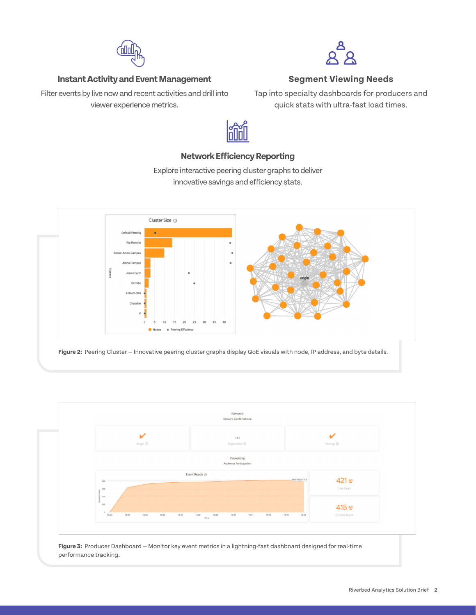

#### **Instant Activity and Event Management**

Filter events by live now and recent activities and drill into viewer experience metrics.



#### **Segment Viewing Needs**

Tap into specialty dashboards for producers and quick stats with ultra-fast load times.



# **Network Efficiency Reporting** Explore interactive peering cluster graphs to deliver

innovative savings and efficiency stats.



**Figure 2:** Peering Cluster — Innovative peering cluster graphs display QoE visuals with node, IP address, and byte details.



**Figure 3:** Producer Dashboard — Monitor key event metrics in a lightning-fast dashboard designed for real-time performance tracking.